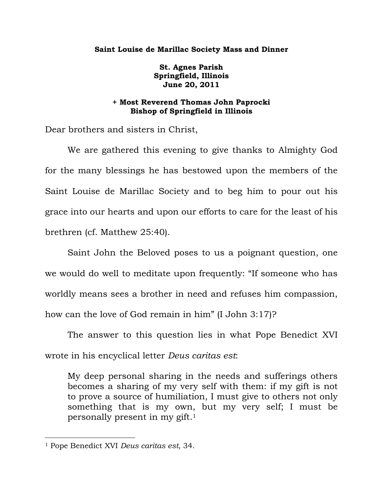## **Saint Louise de Marillac Society Mass and Dinner**

**St. Agnes Parish Springfield, Illinois June 20, 2011** 

## **+ Most Reverend Thomas John Paprocki Bishop of Springfield in Illinois**

Dear brothers and sisters in Christ,

 We are gathered this evening to give thanks to Almighty God for the many blessings he has bestowed upon the members of the Saint Louise de Marillac Society and to beg him to pour out his grace into our hearts and upon our efforts to care for the least of his brethren (cf. Matthew 25:40).

 Saint John the Beloved poses to us a poignant question, one we would do well to meditate upon frequently: "If someone who has worldly means sees a brother in need and refuses him compassion, how can the love of God remain in him" (I John 3:17)?

 The answer to this question lies in what Pope Benedict XVI wrote in his encyclical letter *Deus caritas est*:

My deep personal sharing in the needs and sufferings others becomes a sharing of my very self with them: if my gift is not to prove a source of humiliation, I must give to others not only something that is my own, but my very self; I must be personally present in my gift.1

 $\overline{a}$ 

<sup>1</sup> Pope Benedict XVI *Deus caritas est*, 34.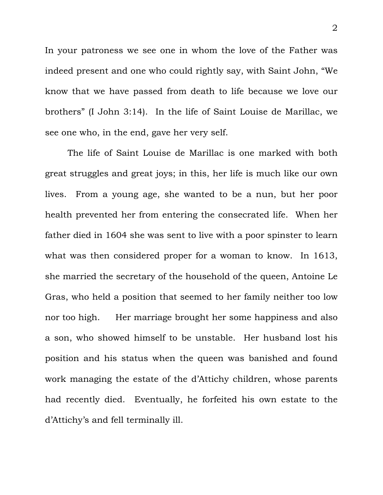In your patroness we see one in whom the love of the Father was indeed present and one who could rightly say, with Saint John, "We know that we have passed from death to life because we love our brothers" (I John 3:14). In the life of Saint Louise de Marillac, we see one who, in the end, gave her very self.

 The life of Saint Louise de Marillac is one marked with both great struggles and great joys; in this, her life is much like our own lives. From a young age, she wanted to be a nun, but her poor health prevented her from entering the consecrated life. When her father died in 1604 she was sent to live with a poor spinster to learn what was then considered proper for a woman to know. In 1613, she married the secretary of the household of the queen, Antoine Le Gras, who held a position that seemed to her family neither too low nor too high. Her marriage brought her some happiness and also a son, who showed himself to be unstable. Her husband lost his position and his status when the queen was banished and found work managing the estate of the d'Attichy children, whose parents had recently died. Eventually, he forfeited his own estate to the d'Attichy's and fell terminally ill.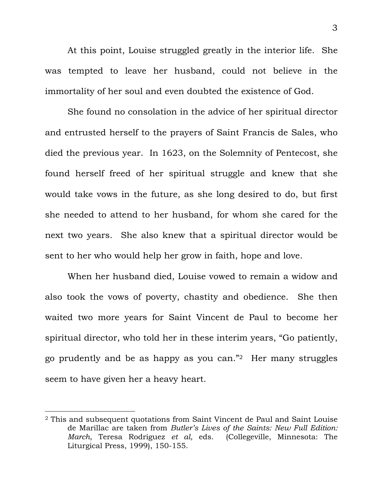At this point, Louise struggled greatly in the interior life. She was tempted to leave her husband, could not believe in the immortality of her soul and even doubted the existence of God.

 She found no consolation in the advice of her spiritual director and entrusted herself to the prayers of Saint Francis de Sales, who died the previous year. In 1623, on the Solemnity of Pentecost, she found herself freed of her spiritual struggle and knew that she would take vows in the future, as she long desired to do, but first she needed to attend to her husband, for whom she cared for the next two years. She also knew that a spiritual director would be sent to her who would help her grow in faith, hope and love.

 When her husband died, Louise vowed to remain a widow and also took the vows of poverty, chastity and obedience. She then waited two more years for Saint Vincent de Paul to become her spiritual director, who told her in these interim years, "Go patiently, go prudently and be as happy as you can."2 Her many struggles seem to have given her a heavy heart.

 $\overline{a}$ 

<sup>2</sup> This and subsequent quotations from Saint Vincent de Paul and Saint Louise de Marillac are taken from *Butler's Lives of the Saints: New Full Edition: March*, Teresa Rodriguez *et al*, eds. (Collegeville, Minnesota: The Liturgical Press, 1999), 150-155.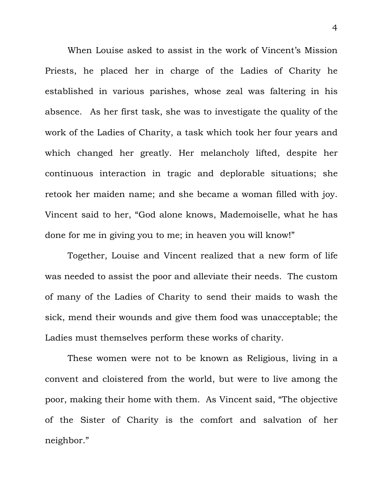When Louise asked to assist in the work of Vincent's Mission Priests, he placed her in charge of the Ladies of Charity he established in various parishes, whose zeal was faltering in his absence. As her first task, she was to investigate the quality of the work of the Ladies of Charity, a task which took her four years and which changed her greatly. Her melancholy lifted, despite her continuous interaction in tragic and deplorable situations; she retook her maiden name; and she became a woman filled with joy. Vincent said to her, "God alone knows, Mademoiselle, what he has done for me in giving you to me; in heaven you will know!"

 Together, Louise and Vincent realized that a new form of life was needed to assist the poor and alleviate their needs. The custom of many of the Ladies of Charity to send their maids to wash the sick, mend their wounds and give them food was unacceptable; the Ladies must themselves perform these works of charity.

 These women were not to be known as Religious, living in a convent and cloistered from the world, but were to live among the poor, making their home with them. As Vincent said, "The objective of the Sister of Charity is the comfort and salvation of her neighbor."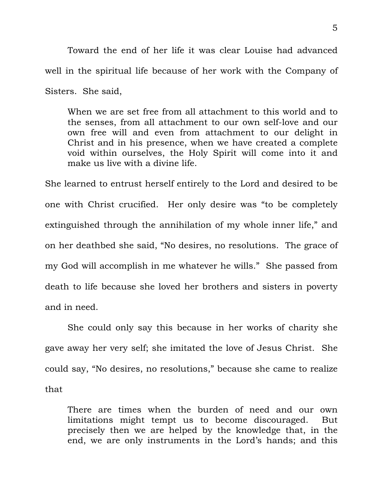Toward the end of her life it was clear Louise had advanced well in the spiritual life because of her work with the Company of Sisters. She said,

When we are set free from all attachment to this world and to the senses, from all attachment to our own self-love and our own free will and even from attachment to our delight in Christ and in his presence, when we have created a complete void within ourselves, the Holy Spirit will come into it and make us live with a divine life.

She learned to entrust herself entirely to the Lord and desired to be one with Christ crucified. Her only desire was "to be completely extinguished through the annihilation of my whole inner life," and on her deathbed she said, "No desires, no resolutions. The grace of my God will accomplish in me whatever he wills." She passed from death to life because she loved her brothers and sisters in poverty and in need.

 She could only say this because in her works of charity she gave away her very self; she imitated the love of Jesus Christ. She could say, "No desires, no resolutions," because she came to realize that

There are times when the burden of need and our own limitations might tempt us to become discouraged. But precisely then we are helped by the knowledge that, in the end, we are only instruments in the Lord's hands; and this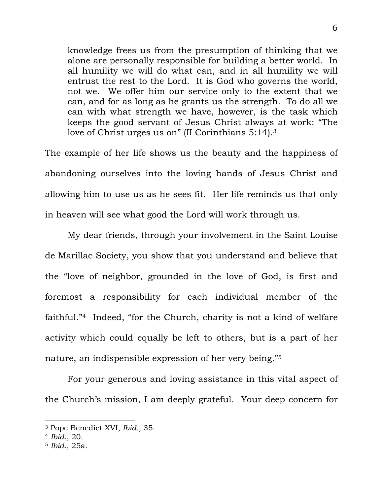knowledge frees us from the presumption of thinking that we alone are personally responsible for building a better world. In all humility we will do what can, and in all humility we will entrust the rest to the Lord. It is God who governs the world, not we. We offer him our service only to the extent that we can, and for as long as he grants us the strength. To do all we can with what strength we have, however, is the task which keeps the good servant of Jesus Christ always at work: "The love of Christ urges us on" (II Corinthians 5:14).<sup>3</sup>

The example of her life shows us the beauty and the happiness of abandoning ourselves into the loving hands of Jesus Christ and allowing him to use us as he sees fit. Her life reminds us that only in heaven will see what good the Lord will work through us.

 My dear friends, through your involvement in the Saint Louise de Marillac Society, you show that you understand and believe that the "love of neighbor, grounded in the love of God, is first and foremost a responsibility for each individual member of the faithful."4 Indeed, "for the Church, charity is not a kind of welfare activity which could equally be left to others, but is a part of her nature, an indispensible expression of her very being."5

 For your generous and loving assistance in this vital aspect of the Church's mission, I am deeply grateful. Your deep concern for

 $\overline{a}$ 

<sup>3</sup> Pope Benedict XVI, *Ibid.*, 35.

<sup>4</sup> *Ibid*., 20.

<sup>5</sup> *Ibid*., 25a.